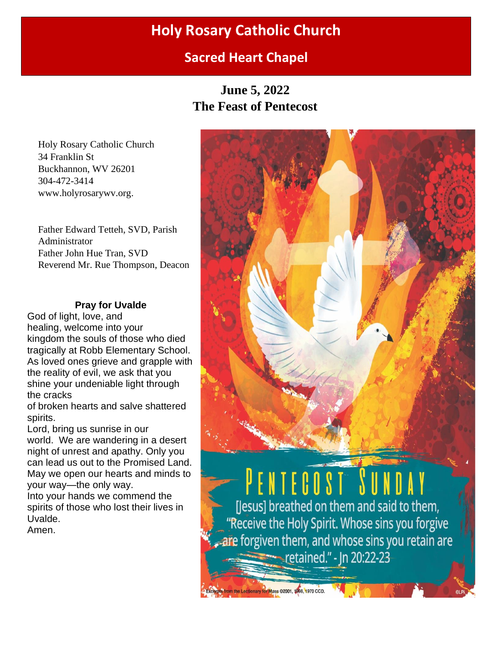# **Holy Rosary Catholic Church**

# **Sacred Heart Chapel**

**June 5, 2022 The Feast of Pentecost**

Holy Rosary Catholic Church 34 Franklin St Buckhannon, WV 26201 304-472-3414 www.holyrosarywv.org.

Father Edward Tetteh, SVD, Parish Administrator Father John Hue Tran, SVD Reverend Mr. Rue Thompson, Deacon

# **Pray for Uvalde**

God of light, love, and healing, welcome into your kingdom the souls of those who died tragically at Robb Elementary School. As loved ones grieve and grapple with the reality of evil, we ask that you shine your undeniable light through the cracks

of broken hearts and salve shattered spirits.

Lord, bring us sunrise in our world. We are wandering in a desert night of unrest and apathy. Only you can lead us out to the Promised Land. May we open our hearts and minds to your way—the only way.

Into your hands we commend the spirits of those who lost their lives in Uvalde.

Amen.

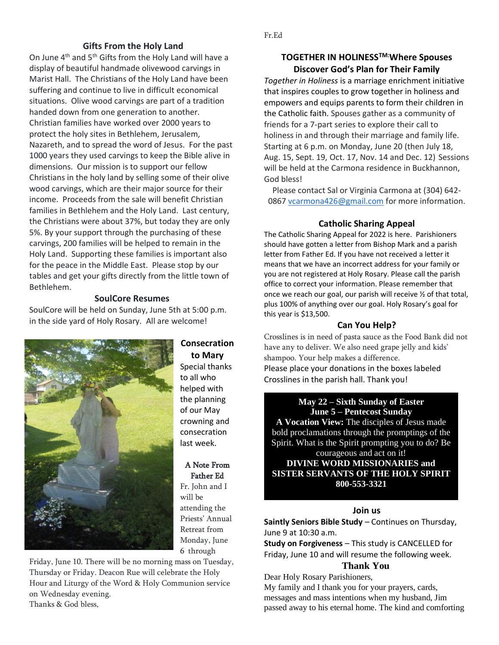#### **Gifts From the Holy Land**

On June 4th and 5th Gifts from the Holy Land will have a display of beautiful handmade olivewood carvings in Marist Hall. The Christians of the Holy Land have been suffering and continue to live in difficult economical situations. Olive wood carvings are part of a tradition handed down from one generation to another. Christian families have worked over 2000 years to protect the holy sites in Bethlehem, Jerusalem, Nazareth, and to spread the word of Jesus. For the past 1000 years they used carvings to keep the Bible alive in dimensions. Our mission is to support our fellow Christians in the holy land by selling some of their olive wood carvings, which are their major source for their income. Proceeds from the sale will benefit Christian families in Bethlehem and the Holy Land. Last century, the Christians were about 37%, but today they are only 5%. By your support through the purchasing of these carvings, 200 families will be helped to remain in the Holy Land. Supporting these families is important also for the peace in the Middle East. Please stop by our tables and get your gifts directly from the little town of Bethlehem.

#### **SoulCore Resumes**

SoulCore will be held on Sunday, June 5th at 5:00 p.m. in the side yard of Holy Rosary. All are welcome!



# **Consecration**

**to Mary** Special thanks to all who helped with the planning of our May crowning and consecration last week.

#### A Note From Father Ed

Fr. John and I will be attending the Priests' Annual Retreat from Monday, June 6 through

Friday, June 10. There will be no morning mass on Tuesday, Thursday or Friday. Deacon Rue will celebrate the Holy Hour and Liturgy of the Word & Holy Communion service on Wednesday evening. Thanks & God bless,

# **TOGETHER IN HOLINESSTM:Where Spouses Discover God's Plan for Their Family**

*Together in Holiness* is a marriage enrichment initiative that inspires couples to grow together in holiness and empowers and equips parents to form their children in the Catholic faith. Spouses gather as a community of friends for a 7-part series to explore their call to holiness in and through their marriage and family life. Starting at 6 p.m. on Monday, June 20 (then July 18, Aug. 15, Sept. 19, Oct. 17, Nov. 14 and Dec. 12) Sessions will be held at the Carmona residence in Buckhannon, God bless!

Please contact Sal or Virginia Carmona at (304) 642 0867 [vcarmona426@gmail.com](mailto:vcarmona426@gmail.com) for more information.

#### **Catholic Sharing Appeal**

The Catholic Sharing Appeal for 2022 is here. Parishioners should have gotten a letter from Bishop Mark and a parish letter from Father Ed. If you have not received a letter it means that we have an incorrect address for your family or you are not registered at Holy Rosary. Please call the parish office to correct your information. Please remember that once we reach our goal, our parish will receive ½ of that total, plus 100% of anything over our goal. Holy Rosary's goal for this year is \$13,500.

#### **Can You Help?**

Crosslines is in need of pasta sauce as the Food Bank did not have any to deliver. We also need grape jelly and kids' shampoo. Your help makes a difference. Please place your donations in the boxes labeled Crosslines in the parish hall. Thank you!

#### **May 22 – Sixth Sunday of Easter June 5 – Pentecost Sunday**

**A Vocation View:** The disciples of Jesus made bold proclamations through the promptings of the Spirit. What is the Spirit prompting you to do? Be courageous and act on it!

**DIVINE WORD MISSIONARIES and SISTER SERVANTS OF THE HOLY SPIRIT 800-553-3321**

#### **Join us**

**Saintly Seniors Bible Study** – Continues on Thursday, June 9 at 10:30 a.m.

**Study on Forgiveness** – This study is CANCELLED for Friday, June 10 and will resume the following week.

### **Thank You**

Dear Holy Rosary Parishioners,

My family and I thank you for your prayers, cards, messages and mass intentions when my husband, Jim passed away to his eternal home. The kind and comforting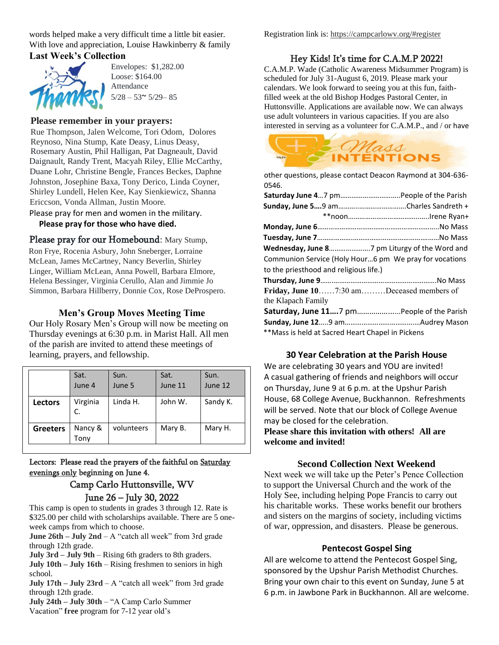words helped make a very difficult time a little bit easier. With love and appreciation, Louise Hawkinberry & family **Last Week's Collection**



Envelopes: \$1,282.00 Loose: \$164.00 Attendance  $5/28 - 53^{\sim}$  5/29 - 85

## **Please remember in your prayers:**

Rue Thompson, Jalen Welcome, Tori Odom, Dolores Reynoso, Nina Stump, Kate Deasy, Linus Deasy, Rosemary Austin, Phil Halligan, Pat Dagneault, David Daignault, Randy Trent, Macyah Riley, Ellie McCarthy, Duane Lohr, Christine Bengle, Frances Beckes, Daphne Johnston, Josephine Baxa, Tony Derico, Linda Coyner, Shirley Lundell, Helen Kee, Kay Sienkiewicz, Shanna Ericcson, Vonda Allman, Justin Moore.

Please pray for men and women in the military.

### **Please pray for those who have died.**

Please pray for our Homebound: Mary Stump, Ron Frye, Rocenia Asbury, John Sneberger, Lorraine McLean, James McCartney, Nancy Beverlin, Shirley Linger, William McLean, Anna Powell, Barbara Elmore, Helena Bessinger, Virginia Cerullo, Alan and Jimmie Jo Simmon, Barbara Hillberry, Donnie Cox, Rose DeProspero.

# **Men's Group Moves Meeting Time**

Our Holy Rosary Men's Group will now be meeting on Thursday evenings at 6:30 p.m. in Marist Hall. All men of the parish are invited to attend these meetings of learning, prayers, and fellowship.

|                 | Sat.<br>June 4  | Sun.<br>June 5 | Sat.<br>June 11 | Sun.<br>June 12 |
|-----------------|-----------------|----------------|-----------------|-----------------|
| <b>Lectors</b>  | Virginia<br>C.  | Linda H.       | John W.         | Sandy K.        |
| <b>Greeters</b> | Nancy &<br>Tony | volunteers     | Mary B.         | Mary H.         |

Lectors: Please read the prayers of the faithful on Saturday evenings only beginning on June 4.

# Camp Carlo Huttonsville, WV June 26 – July 30, 2022

This camp is open to students in grades 3 through 12. Rate is \$325.00 per child with scholarships available. There are 5 oneweek camps from which to choose.

**June 26th – July 2nd** – A "catch all week" from 3rd grade through 12th grade.

**July 3rd – July 9th** – Rising 6th graders to 8th graders.

**July 10th – July 16th** – Rising freshmen to seniors in high school.

**July 17th – July 23rd** – A "catch all week" from 3rd grade through 12th grade.

**July 24th – July 30th** – "A Camp Carlo Summer Vacation" **free** program for 7-12 year old's

Registration link is: [https://campcarlowv.org/#register](https://email-mg.flocknote.com/c/eJwdzTkOgzAQQNHT4BLNjDdSuEjDPeyxWRRgkLGS6ydE-tVvXg4eNXmj1kBABBYRBwD0fUJn85CNJsOWS-4MTJvw65BWepZdLSGRc4BpYgueKDvHA6VodDIRMjwmtYWltfPq9LOj8RfH_eRYN_m8e6nzf-pa5vVqpaoa8imRl1uqcrS11Bv6ApTwMW0)

# Hey Kids! It's time for C.A.M.P 2022!

C.A.M.P. Wade (Catholic Awareness Midsummer Program) is scheduled for July 31-August 6, 2019. Please mark your calendars. We look forward to seeing you at this fun, faithfilled week at the old Bishop Hodges Pastoral Center, in Huttonsville. Applications are available now. We can always use adult volunteers in various capacities. If you are also interested in serving as a volunteer for C.A.M.P., and / or have



other questions, please contact Deacon Raymond at 304-636- 0546.

| Communion Service (Holy Hour6 pm We pray for vocations |  |  |  |  |
|--------------------------------------------------------|--|--|--|--|
| to the priesthood and religious life.)                 |  |  |  |  |
|                                                        |  |  |  |  |
| Friday, June 107:30 amDeceased members of              |  |  |  |  |
| the Klapach Family                                     |  |  |  |  |
| Saturday, June 117 pm People of the Parish             |  |  |  |  |
|                                                        |  |  |  |  |
| **Mass is held at Sacred Heart Chapel in Pickens       |  |  |  |  |

## **30 Year Celebration at the Parish House**

We are celebrating 30 years and YOU are invited! A casual gathering of friends and neighbors will occur on Thursday, June 9 at 6 p.m. at the Upshur Parish House, 68 College Avenue, Buckhannon. Refreshments will be served. Note that our block of College Avenue may be closed for the celebration.

**Please share this invitation with others! All are welcome and invited!**

## **Second Collection Next Weekend**

Next week we will take up the Peter's Pence Collection to support the Universal Church and the work of the Holy See, including helping Pope Francis to carry out his charitable works. These works benefit our brothers and sisters on the margins of society, including victims of war, oppression, and disasters. Please be generous.

#### **Pentecost Gospel Sing**

All are welcome to attend the Pentecost Gospel Sing, sponsored by the Upshur Parish Methodist Churches. Bring your own chair to this event on Sunday, June 5 at 6 p.m. in Jawbone Park in Buckhannon. All are welcome.